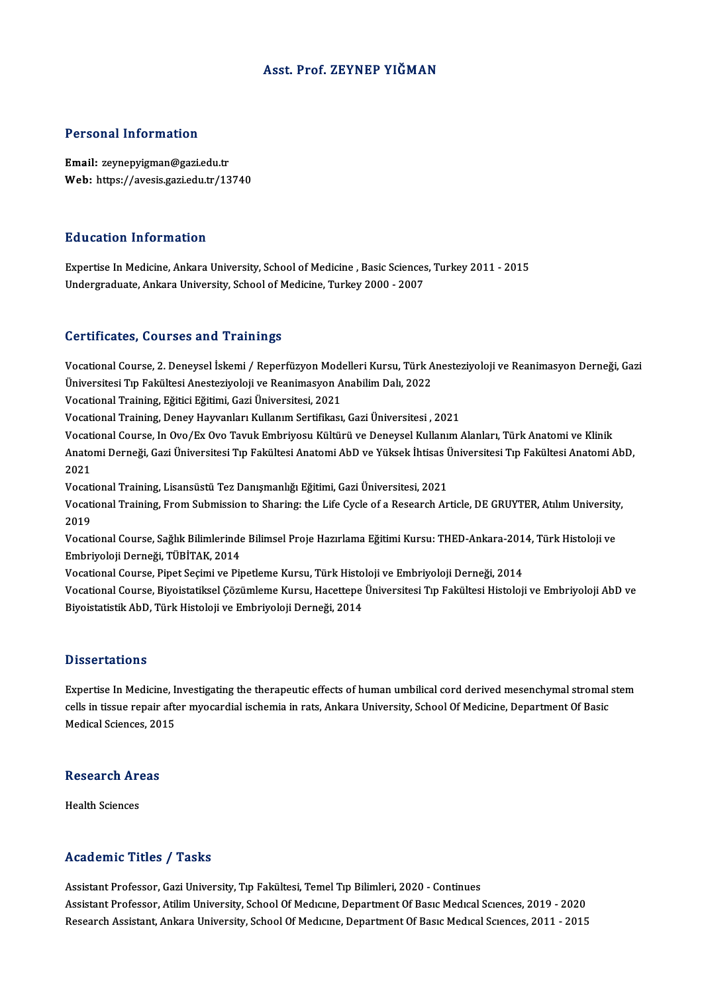## Asst. Prof. ZEYNEP YIĞMAN

### Personal Information

Email: zeynepyigman@gazi.edu.tr Web: https://avesis.gazi.edu.tr/13740

### Education Information

Education Information<br>Expertise In Medicine, Ankara University, School of Medicine , Basic Sciences, Turkey 2011 - 2015<br>Undergraduate Ankara University, School of Medicine, Turkey 2000, 2007 Luucutron Information<br>Expertise In Medicine, Ankara University, School of Medicine , Basic Sciences<br>Undergraduate, Ankara University, School of Medicine, Turkey 2000 - 2007 Undergraduate, Ankara University, School of Medicine, Turkey 2000 - 2007<br>Certificates, Courses and Trainings

Certificates, Courses and Trainings<br>Vocational Course, 2. Deneysel İskemi / Reperfüzyon Modelleri Kursu, Türk Anesteziyoloji ve Reanimasyon Derneği, Gazi<br>Ühiversitesi Tır Fekültesi Anesteriyoloji ve Reanimasyon Anebilim De UST EHTURUSIY USUTUSU RIM TT AHHHI<sub>B</sub>U<br>Vocational Course, 2. Deneysel İskemi / Reperfüzyon Modelleri Kursu, Türk A<br>Üniversitesi Tıp Fakültesi Anesteziyoloji ve Reanimasyon Anabilim Dalı, 2022<br>Vestional Training, Făiției Fă Vocational Course, 2. Deneysel İskemi / Reperfüzyon Mode<br>Üniversitesi Tıp Fakültesi Anesteziyoloji ve Reanimasyon A<br>Vocational Training, Eğitici Eğitimi, Gazi Üniversitesi, 2021<br>Vocational Training, Donov Harvanları Kullan

Üniversitesi Tıp Fakültesi Anesteziyoloji ve Reanimasyon Anabilim Dalı, 2022<br>Vocational Training, Eğitici Eğitimi, Gazi Üniversitesi, 2021<br>Vocational Training, Deney Hayvanları Kullanım Sertifikası, Gazi Üniversitesi , 202

Vocational Training, Eğitici Eğitimi, Gazi Üniversitesi, 2021<br>Vocational Training, Deney Hayvanları Kullanım Sertifikası, Gazi Üniversitesi , 2021<br>Vocational Course, In Ovo/Ex Ovo Tavuk Embriyosu Kültürü ve Deneysel Kullan Anatomi Derneği, Gazi Üniversitesi Tıp Fakültesi Anatomi AbD ve Yüksek İhtisas Üniversitesi Tıp Fakültesi Anatomi AbD,<br>2021 Vocati<br>Anato<br>2021 Anatomi Derneği, Gazi Üniversitesi Tıp Fakültesi Anatomi AbD ve Yüksek İhtisas İ<br>2021<br>Vocational Training, Lisansüstü Tez Danışmanlığı Eğitimi, Gazi Üniversitesi, 2021<br>Vocational Training, Erom Submission to Sharinguthe Li

2021<br>Vocational Training, Lisansüstü Tez Danışmanlığı Eğitimi, Gazi Üniversitesi, 2021<br>Vocational Training, From Submission to Sharing: the Life Cycle of a Research Article, DE GRUYTER, Atılım University, Vocati<br>Vocati<br>2019<br>Vocati Vocational Training, From Submission to Sharing: the Life Cycle of a Research Article, DE GRUYTER, Atılım University<br>2019<br>Vocational Course, Sağlık Bilimlerinde Bilimsel Proje Hazırlama Eğitimi Kursu: THED-Ankara-2014, Tür

2019<br>Vocational Course, Sağlık Bilimlerinde Bilimsel Proje Hazırlama Eğitimi Kursu: THED-Ankara-2014, Türk Histoloji ve<br>Embriyoloji Derneği, TÜBİTAK, 2014 Vocational Course, Sağlık Bilimlerinde Bilimsel Proje Hazırlama Eğitimi Kursu: THED-Ankara-201<br>Embriyoloji Derneği, TÜBİTAK, 2014<br>Vocational Course, Pipet Seçimi ve Pipetleme Kursu, Türk Histoloji ve Embriyoloji Derneği, 2

Vocational Course, Biyoistatiksel Çözümleme Kursu, Hacettepe Üniversitesi Tıp Fakültesi Histoloji ve Embriyoloji AbD ve<br>Biyoistatistik AbD, Türk Histoloji ve Embriyoloji Derneği, 2014 Vocational Course, Pipet Seçimi ve Pipetleme Kursu, Türk Histo<br>Vocational Course, Biyoistatiksel Çözümleme Kursu, Hacettepe<br>Biyoistatistik AbD, Türk Histoloji ve Embriyoloji Derneği, 2014

### **Dissertations**

Dissertations<br>Expertise In Medicine, Investigating the therapeutic effects of human umbilical cord derived mesenchymal stromal stem<br>colls in tissue repair after muccordial isobomia in rate. Ankana University, School Of Mod Expertise In Medicine, Investigating the therapeutic effects of human umbilical cord derived mesenchymal stromal<br>cells in tissue repair after myocardial ischemia in rats, Ankara University, School Of Medicine, Department O Expertise In Medicine, I<sub>l</sub><br>cells in tissue repair afte<br>Medical Sciences, 2015

# medical sciences, 20<br>Research Areas R<mark>esearch Ar</mark><br>Health Sciences

# Academic Titles / Tasks

Assistant Professor, Gazi University, Tıp Fakültesi, Temel Tıp Bilimleri, 2020 - Continues Assistant Professor, Atilim University, School Of Medicine, Department Of Basic Medical Sciences, 2019 - 2020 Research Assistant, Ankara University, School Of Medicine, Department Of Basic Medical Sciences, 2011 - 2015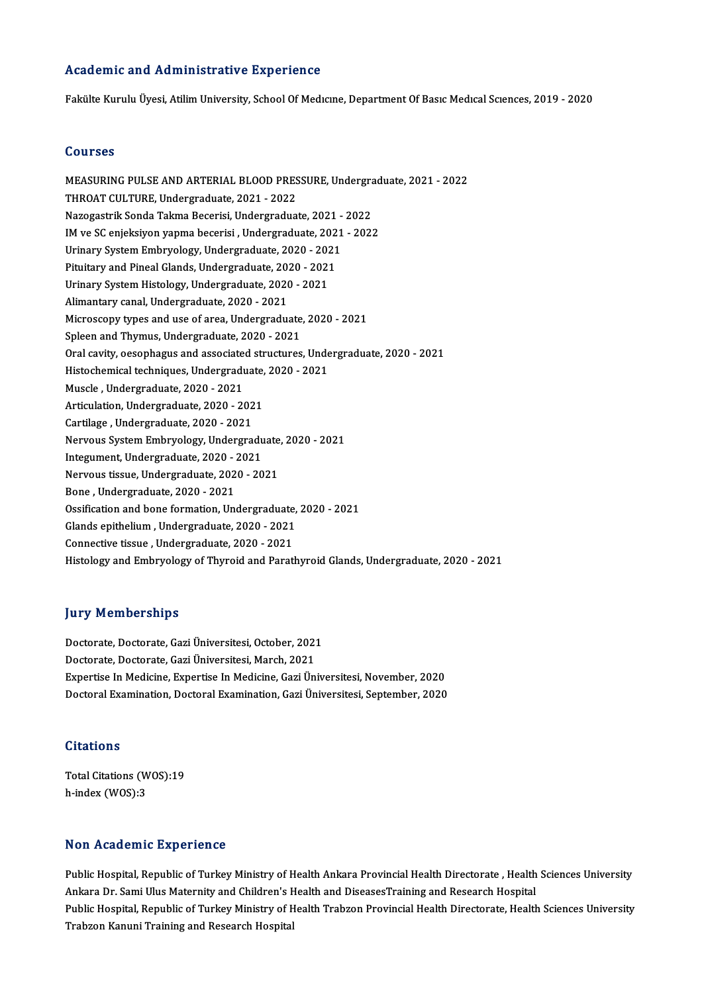### Academic and Administrative Experience

Fakülte Kurulu Üyesi, Atilim University, School Of Medicine, Department Of Basic Medical Sciences, 2019 - 2020

### Courses

MEASURINGPULSEANDARTERIALBLOODPRESSURE,Undergraduate,2021 -2022 THROAT CULTURE, Undergraduate, 2021 - 2022 NazogastrikSondaTakmaBecerisi,Undergraduate,2021 -2022 THROAT CULTURE, Undergraduate, 2021 - 2022<br>Nazogastrik Sonda Takma Becerisi, Undergraduate, 2021 - 2022<br>IM ve SC enjeksiyon yapma becerisi , Undergraduate, 2021 - 2022<br>Urinary System Embryelogy, Undergraduate, 2020, 2021 Nazogastrik Sonda Takma Becerisi, Undergraduate, 2021 -<br>IM ve SC enjeksiyon yapma becerisi , Undergraduate, 2021<br>Urinary System Embryology, Undergraduate, 2020 - 2021<br>Pituitary and Pineal Clands, Undergraduate, 2020 - 2021 IM ve SC enjeksiyon yapma becerisi , Undergraduate, 202<br>Urinary System Embryology, Undergraduate, 2020 - 2021<br>Pituitary and Pineal Glands, Undergraduate, 2020 - 2021<br>Urinary System Histology, Undergraduate, 2020 - 2021 Urinary System Embryology, Undergraduate, 2020 - 2021<br>Pituitary and Pineal Glands, Undergraduate, 2020 - 2021<br>Urinary System Histology, Undergraduate, 2020 - 2021 Pituitary and Pineal Glands, Undergraduate, 2020<br>Urinary System Histology, Undergraduate, 2020<br>Alimantary canal, Undergraduate, 2020 - 2021<br>Misrossony times and use of area, Undergradua Microscopy types and use of area, Undergraduate, 2020 - 2021<br>Spleen and Thymus, Undergraduate, 2020 - 2021 Alimantary canal, Undergraduate, 2020 - 2021<br>Microscopy types and use of area, Undergraduate<br>Spleen and Thymus, Undergraduate, 2020 - 2021<br>Orel cavity, essenhagus and essegiated structures Microscopy types and use of area, Undergraduate, 2020 - 2021<br>Spleen and Thymus, Undergraduate, 2020 - 2021<br>Oral cavity, oesophagus and associated structures, Undergraduate, 2020 - 2021<br>Histophomical tochniques, Undergradua Spleen and Thymus, Undergraduate, 2020 - 2021<br>Oral cavity, oesophagus and associated structures, Under<br>Histochemical techniques, Undergraduate, 2020 - 2021<br>Musele, Undergraduate, 2020, 2021 Oral cavity, oesophagus and associate<br>Histochemical techniques, Undergraduate, 2020<br>Muscle , Undergraduate, 2020 - 2021<br>Artiqulation, Undergraduate, 2020 - 20 Histochemical techniques, Undergraduate,<br>Muscle , Undergraduate, 2020 - 2021<br>Articulation, Undergraduate, 2020 - 2021<br>Cartilage, Undergraduate, 2020 - 2021 Muscle , Undergraduate, 2020 - 2021<br>Articulation, Undergraduate, 2020 - 202<br>Cartilage , Undergraduate, 2020 - 2021<br>Nawous System Embruelogy, Undergre Cartilage, Undergraduate, 2020 - 2021<br>Nervous System Embryology, Undergraduate, 2020 - 2021 Integument,Undergraduate,2020 -2021 Nervous System Embryology, Undergraduate<br>Integument, Undergraduate, 2020 - 2021<br>Nervous tissue, Undergraduate, 2020 - 2021<br>Pene, Undergraduate, 2020, 2021 Integument, Undergraduate, 2020 - 2<br>Nervous tissue, Undergraduate, 202<br>Bone , Undergraduate, 2020 - 2021<br>Ossifisation and bone formation. Un Nervous tissue, Undergraduate, 2020 - 2021<br>Bone , Undergraduate, 2020 - 2021<br>Ossification and bone formation, Undergraduate, 2020 - 2021<br>Clands enithelium, Undergraduate, 2020, 2021 Bone , Undergraduate, 2020 - 2021<br>Ossification and bone formation, Undergraduate,<br>Glands epithelium , Undergraduate, 2020 - 2021<br>Connective tissue, Undergraduate, 2020 - 2021 Ossification and bone formation, Undergraduate<br>Glands epithelium , Undergraduate, 2020 - 2021<br>Connective tissue , Undergraduate, 2020 - 2021<br>Histology and Embruelogy of Thyroid and Paratl Glands epithelium , Undergraduate, 2020 - 2021<br>Connective tissue , Undergraduate, 2020 - 2021<br>Histology and Embryology of Thyroid and Parathyroid Glands, Undergraduate, 2020 - 2021

### **Jury Memberships**

**Jury Memberships<br>Doctorate, Doctorate, Gazi Üniversitesi, October, 2021<br>Doctorate, Doctorate, Cari Üniversitesi, Marsh, 2021** Jury Trembertampe<br>Doctorate, Doctorate, Gazi Üniversitesi, October, 2021<br>Doctorate, Doctorate, Gazi Üniversitesi, March, 2021<br>Evnastias In Madisina, Evnastias In Madisina, Cazi Ün Doctorate, Doctorate, Gazi Üniversitesi, October, 2021<br>Doctorate, Doctorate, Gazi Üniversitesi, March, 2021<br>Expertise In Medicine, Expertise In Medicine, Gazi Üniversitesi, November, 2020<br>Doctoral Examination, Doctoral Exa Doctorate, Doctorate, Gazi Üniversitesi, March, 2021<br>Expertise In Medicine, Expertise In Medicine, Gazi Üniversitesi, November, 2020<br>Doctoral Examination, Doctoral Examination, Gazi Üniversitesi, September, 2020 Doctoral Examination, Doctoral Examination, Gazi Üniversitesi, September, 2020<br>Citations

Total Citations (WOS):19 h-index (WOS):3

### Non Academic Experience

Non Academic Experience<br>Public Hospital, Republic of Turkey Ministry of Health Ankara Provincial Health Directorate , Health Sciences University<br>Ankara Dr. Sami Ulus Meternity and Children's Health and DiseasesTraining and Ankara Ancuremine Enperionce<br>Ankara Dr. Sami Ulus Maternity and Children's Health Ankara Provincial Health Directorate , Health<br>Ankara Dr. Sami Ulus Maternity and Children's Health and DiseasesTraining and Research Hospita Public Hospital, Republic of Turkey Ministry of Health Ankara Provincial Health Directorate , Health Sciences University<br>Ankara Dr. Sami Ulus Maternity and Children's Health and DiseasesTraining and Research Hospital<br>Publi Ankara Dr. Sami Ulus Maternity and Children's F<br>Public Hospital, Republic of Turkey Ministry of H<br>Trabzon Kanuni Training and Research Hospital